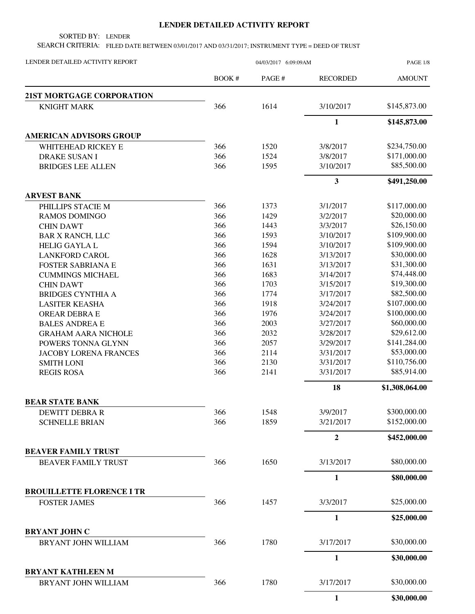## **LENDER DETAILED ACTIVITY REPORT**

SORTED BY: LENDER

SEARCH CRITERIA: FILED DATE BETWEEN 03/01/2017 AND 03/31/2017; INSTRUMENT TYPE = DEED OF TRUST

| LENDER DETAILED ACTIVITY REPORT                          | 04/03/2017 6:09:09AM |              |                      | PAGE 1/8                    |  |
|----------------------------------------------------------|----------------------|--------------|----------------------|-----------------------------|--|
|                                                          | BOOK#                | PAGE #       | <b>RECORDED</b>      | <b>AMOUNT</b>               |  |
| 21ST MORTGAGE CORPORATION                                |                      |              |                      |                             |  |
| <b>KNIGHT MARK</b>                                       | 366                  | 1614         | 3/10/2017            | \$145,873.00                |  |
|                                                          |                      |              | $\mathbf{1}$         | \$145,873.00                |  |
| <b>AMERICAN ADVISORS GROUP</b>                           |                      |              |                      |                             |  |
| WHITEHEAD RICKEY E                                       | 366                  | 1520         | 3/8/2017             | \$234,750.00                |  |
| <b>DRAKE SUSAN I</b>                                     | 366                  | 1524         | 3/8/2017             | \$171,000.00                |  |
| <b>BRIDGES LEE ALLEN</b>                                 | 366                  | 1595         | 3/10/2017            | \$85,500.00                 |  |
|                                                          |                      |              | 3                    | \$491,250.00                |  |
| <b>ARVEST BANK</b>                                       |                      |              |                      |                             |  |
| PHILLIPS STACIE M                                        | 366<br>366           | 1373         | 3/1/2017             | \$117,000.00<br>\$20,000.00 |  |
| <b>RAMOS DOMINGO</b>                                     | 366                  | 1429<br>1443 | 3/2/2017<br>3/3/2017 | \$26,150.00                 |  |
| <b>CHIN DAWT</b><br><b>BAR X RANCH, LLC</b>              | 366                  | 1593         | 3/10/2017            | \$109,900.00                |  |
| <b>HELIG GAYLA L</b>                                     | 366                  | 1594         | 3/10/2017            | \$109,900.00                |  |
| <b>LANKFORD CAROL</b>                                    | 366                  | 1628         | 3/13/2017            | \$30,000.00                 |  |
| <b>FOSTER SABRIANA E</b>                                 | 366                  | 1631         | 3/13/2017            | \$31,300.00                 |  |
| <b>CUMMINGS MICHAEL</b>                                  | 366                  | 1683         | 3/14/2017            | \$74,448.00                 |  |
| <b>CHIN DAWT</b>                                         | 366                  | 1703         | 3/15/2017            | \$19,300.00                 |  |
| <b>BRIDGES CYNTHIA A</b>                                 | 366                  | 1774         | 3/17/2017            | \$82,500.00                 |  |
| <b>LASITER KEASHA</b>                                    | 366                  | 1918         | 3/24/2017            | \$107,000.00                |  |
| OREAR DEBRA E                                            | 366                  | 1976         | 3/24/2017            | \$100,000.00                |  |
| <b>BALES ANDREA E</b>                                    | 366                  | 2003         | 3/27/2017            | \$60,000.00                 |  |
| <b>GRAHAM AARA NICHOLE</b>                               | 366                  | 2032         | 3/28/2017            | \$29,612.00                 |  |
| POWERS TONNA GLYNN                                       | 366                  | 2057         | 3/29/2017            | \$141,284.00                |  |
| <b>JACOBY LORENA FRANCES</b>                             | 366                  | 2114         | 3/31/2017            | \$53,000.00                 |  |
| <b>SMITH LONI</b>                                        | 366                  | 2130         | 3/31/2017            | \$110,756.00                |  |
| <b>REGIS ROSA</b>                                        | 366                  | 2141         | 3/31/2017            | \$85,914.00                 |  |
|                                                          |                      |              | 18                   | \$1,308,064.00              |  |
| <b>BEAR STATE BANK</b>                                   |                      |              |                      |                             |  |
| <b>DEWITT DEBRA R</b>                                    | 366                  | 1548         | 3/9/2017             | \$300,000.00                |  |
| <b>SCHNELLE BRIAN</b>                                    | 366                  | 1859         | 3/21/2017            | \$152,000.00                |  |
|                                                          |                      |              | $\boldsymbol{2}$     | \$452,000.00                |  |
| <b>BEAVER FAMILY TRUST</b><br><b>BEAVER FAMILY TRUST</b> | 366                  | 1650         | 3/13/2017            | \$80,000.00                 |  |
|                                                          |                      |              |                      |                             |  |
| <b>BROUILLETTE FLORENCE I TR</b>                         |                      |              | $\mathbf{1}$         | \$80,000.00                 |  |
| <b>FOSTER JAMES</b>                                      | 366                  | 1457         | 3/3/2017             | \$25,000.00                 |  |
|                                                          |                      |              | 1                    | \$25,000.00                 |  |
| <b>BRYANT JOHN C</b>                                     |                      |              |                      |                             |  |
| BRYANT JOHN WILLIAM                                      | 366                  | 1780         | 3/17/2017            | \$30,000.00                 |  |
|                                                          |                      |              | $\mathbf{1}$         | \$30,000.00                 |  |
| <b>BRYANT KATHLEEN M</b>                                 |                      |              |                      |                             |  |
| BRYANT JOHN WILLIAM                                      | 366                  | 1780         | 3/17/2017            | \$30,000.00                 |  |
|                                                          |                      |              | 1                    | \$30,000.00                 |  |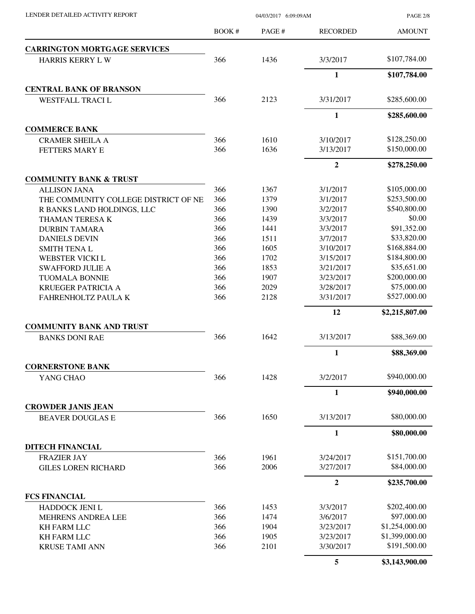PAGE 2/8

|                                      | <b>BOOK#</b> | PAGE# | <b>RECORDED</b>  | <b>AMOUNT</b>  |
|--------------------------------------|--------------|-------|------------------|----------------|
| <b>CARRINGTON MORTGAGE SERVICES</b>  |              |       |                  |                |
| <b>HARRIS KERRY LW</b>               | 366          | 1436  | 3/3/2017         | \$107,784.00   |
|                                      |              |       | $\mathbf{1}$     | \$107,784.00   |
| <b>CENTRAL BANK OF BRANSON</b>       |              |       |                  |                |
| <b>WESTFALL TRACIL</b>               | 366          | 2123  | 3/31/2017        | \$285,600.00   |
|                                      |              |       | $\mathbf{1}$     | \$285,600.00   |
| <b>COMMERCE BANK</b>                 |              |       |                  |                |
| <b>CRAMER SHEILA A</b>               | 366          | 1610  | 3/10/2017        | \$128,250.00   |
| FETTERS MARY E                       | 366          | 1636  | 3/13/2017        | \$150,000.00   |
|                                      |              |       | $\mathbf{2}$     | \$278,250.00   |
| <b>COMMUNITY BANK &amp; TRUST</b>    |              |       |                  |                |
| <b>ALLISON JANA</b>                  | 366          | 1367  | 3/1/2017         | \$105,000.00   |
| THE COMMUNITY COLLEGE DISTRICT OF NE | 366          | 1379  | 3/1/2017         | \$253,500.00   |
| R BANKS LAND HOLDINGS, LLC           | 366          | 1390  | 3/2/2017         | \$540,800.00   |
| THAMAN TERESA K                      | 366          | 1439  | 3/3/2017         | \$0.00         |
| <b>DURBIN TAMARA</b>                 | 366          | 1441  | 3/3/2017         | \$91,352.00    |
| <b>DANIELS DEVIN</b>                 | 366          | 1511  | 3/7/2017         | \$33,820.00    |
| <b>SMITH TENAL</b>                   | 366          | 1605  | 3/10/2017        | \$168,884.00   |
| WEBSTER VICKI L                      | 366          | 1702  | 3/15/2017        | \$184,800.00   |
| <b>SWAFFORD JULIE A</b>              | 366          | 1853  | 3/21/2017        | \$35,651.00    |
| <b>TUOMALA BONNIE</b>                | 366          | 1907  | 3/23/2017        | \$200,000.00   |
| <b>KRUEGER PATRICIA A</b>            | 366          | 2029  | 3/28/2017        | \$75,000.00    |
| FAHRENHOLTZ PAULA K                  | 366          | 2128  | 3/31/2017        | \$527,000.00   |
|                                      |              |       | 12               | \$2,215,807.00 |
| <b>COMMUNITY BANK AND TRUST</b>      |              |       |                  |                |
| <b>BANKS DONI RAE</b>                | 366          | 1642  | 3/13/2017        | \$88,369.00    |
|                                      |              |       | $\mathbf{1}$     | \$88,369.00    |
| <b>CORNERSTONE BANK</b>              |              |       |                  |                |
| YANG CHAO                            | 366          | 1428  | 3/2/2017         | \$940,000.00   |
|                                      |              |       | $\mathbf{1}$     | \$940,000.00   |
| <b>CROWDER JANIS JEAN</b>            |              |       |                  |                |
| <b>BEAVER DOUGLAS E</b>              | 366          | 1650  | 3/13/2017        | \$80,000.00    |
|                                      |              |       | $\mathbf{1}$     | \$80,000.00    |
| <b>DITECH FINANCIAL</b>              |              |       |                  | \$151,700.00   |
| <b>FRAZIER JAY</b>                   | 366          | 1961  | 3/24/2017        |                |
| <b>GILES LOREN RICHARD</b>           | 366          | 2006  | 3/27/2017        | \$84,000.00    |
|                                      |              |       | $\boldsymbol{2}$ | \$235,700.00   |
| <b>FCS FINANCIAL</b>                 |              |       |                  |                |
| HADDOCK JENI L                       | 366          | 1453  | 3/3/2017         | \$202,400.00   |
| MEHRENS ANDREA LEE                   | 366          | 1474  | 3/6/2017         | \$97,000.00    |
| <b>KH FARM LLC</b>                   | 366          | 1904  | 3/23/2017        | \$1,254,000.00 |
| <b>KH FARM LLC</b>                   | 366          | 1905  | 3/23/2017        | \$1,399,000.00 |
| <b>KRUSE TAMI ANN</b>                | 366          | 2101  | 3/30/2017        | \$191,500.00   |
|                                      |              |       | 5                | \$3,143,900.00 |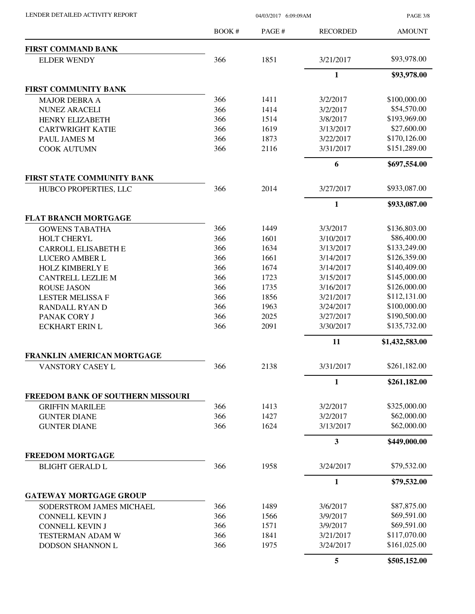| LENDER DETAILED ACTIVITY REPORT |  |
|---------------------------------|--|

04/03/2017 6:09:09AM

PAGE 3/8

|                                            | BOOK#      | PAGE#        | <b>RECORDED</b>       | <b>AMOUNT</b>  |
|--------------------------------------------|------------|--------------|-----------------------|----------------|
| <b>FIRST COMMAND BANK</b>                  |            |              |                       |                |
| <b>ELDER WENDY</b>                         | 366        | 1851         | 3/21/2017             | \$93,978.00    |
|                                            |            |              | $\mathbf{1}$          | \$93,978.00    |
| <b>FIRST COMMUNITY BANK</b>                |            |              |                       |                |
| <b>MAJOR DEBRA A</b>                       | 366        | 1411         | 3/2/2017              | \$100,000.00   |
| <b>NUNEZ ARACELI</b>                       | 366        | 1414         | 3/2/2017              | \$54,570.00    |
| <b>HENRY ELIZABETH</b>                     | 366        | 1514         | 3/8/2017              | \$193,969.00   |
| <b>CARTWRIGHT KATIE</b>                    | 366        | 1619         | 3/13/2017             | \$27,600.00    |
| PAUL JAMES M                               | 366        | 1873         | 3/22/2017             | \$170,126.00   |
| <b>COOK AUTUMN</b>                         | 366        | 2116         | 3/31/2017             | \$151,289.00   |
|                                            |            |              | 6                     | \$697,554.00   |
| FIRST STATE COMMUNITY BANK                 |            |              |                       |                |
| HUBCO PROPERTIES, LLC                      | 366        | 2014         | 3/27/2017             | \$933,087.00   |
|                                            |            |              | $\mathbf{1}$          | \$933,087.00   |
| <b>FLAT BRANCH MORTGAGE</b>                |            |              |                       |                |
| <b>GOWENS TABATHA</b>                      | 366        | 1449         | 3/3/2017              | \$136,803.00   |
| HOLT CHERYL                                | 366        | 1601         | 3/10/2017             | \$86,400.00    |
| <b>CARROLL ELISABETH E</b>                 | 366        | 1634         | 3/13/2017             | \$133,249.00   |
| LUCERO AMBER L                             | 366        | 1661         | 3/14/2017             | \$126,359.00   |
| <b>HOLZ KIMBERLY E</b>                     | 366        | 1674         | 3/14/2017             | \$140,409.00   |
| <b>CANTRELL LEZLIE M</b>                   | 366        | 1723         | 3/15/2017             | \$145,000.00   |
| <b>ROUSE JASON</b>                         | 366        | 1735         | 3/16/2017             | \$126,000.00   |
| <b>LESTER MELISSA F</b>                    | 366        | 1856         | 3/21/2017             | \$112,131.00   |
| RANDALL RYAN D                             | 366        | 1963         | 3/24/2017             | \$100,000.00   |
| PANAK CORY J                               | 366        | 2025         | 3/27/2017             | \$190,500.00   |
| <b>ECKHART ERIN L</b>                      | 366        | 2091         | 3/30/2017             | \$135,732.00   |
|                                            |            |              | 11                    | \$1,432,583.00 |
| FRANKLIN AMERICAN MORTGAGE                 |            |              |                       |                |
| <b>VANSTORY CASEY L</b>                    | 366        | 2138         | 3/31/2017             | \$261,182.00   |
|                                            |            |              | $\mathbf{1}$          | \$261,182.00   |
| FREEDOM BANK OF SOUTHERN MISSOURI          |            |              |                       | \$325,000.00   |
| <b>GRIFFIN MARILEE</b>                     | 366<br>366 | 1413         | 3/2/2017              | \$62,000.00    |
| <b>GUNTER DIANE</b><br><b>GUNTER DIANE</b> | 366        | 1427<br>1624 | 3/2/2017<br>3/13/2017 | \$62,000.00    |
|                                            |            |              | 3                     | \$449,000.00   |
| <b>FREEDOM MORTGAGE</b>                    |            |              |                       |                |
| <b>BLIGHT GERALD L</b>                     | 366        | 1958         | 3/24/2017             | \$79,532.00    |
|                                            |            |              | 1                     | \$79,532.00    |
| <b>GATEWAY MORTGAGE GROUP</b>              |            |              |                       |                |
| SODERSTROM JAMES MICHAEL                   | 366        | 1489         | 3/6/2017              | \$87,875.00    |
| CONNELL KEVIN J                            | 366        | 1566         | 3/9/2017              | \$69,591.00    |
| CONNELL KEVIN J                            | 366        | 1571         | 3/9/2017              | \$69,591.00    |
| TESTERMAN ADAM W                           | 366        | 1841         | 3/21/2017             | \$117,070.00   |
| DODSON SHANNON L                           | 366        | 1975         | 3/24/2017             | \$161,025.00   |
|                                            |            |              | 5                     | \$505,152.00   |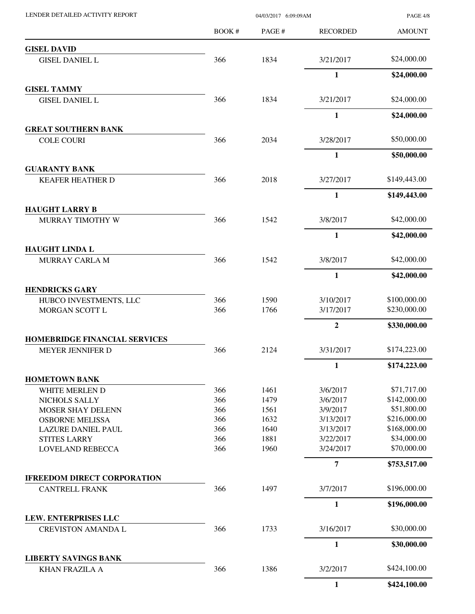| LENDER DETAILED ACTIVITY REPORT                      |            | PAGE 4/8     |                        |                             |
|------------------------------------------------------|------------|--------------|------------------------|-----------------------------|
|                                                      | BOOK#      | PAGE#        | <b>RECORDED</b>        | <b>AMOUNT</b>               |
| <b>GISEL DAVID</b>                                   |            |              |                        |                             |
| <b>GISEL DANIEL L</b>                                | 366        | 1834         | 3/21/2017              | \$24,000.00                 |
|                                                      |            |              | $\mathbf{1}$           | \$24,000.00                 |
| <b>GISEL TAMMY</b>                                   |            |              |                        |                             |
| <b>GISEL DANIEL L</b>                                | 366        | 1834         | 3/21/2017              | \$24,000.00                 |
|                                                      |            |              | $\mathbf{1}$           | \$24,000.00                 |
| <b>GREAT SOUTHERN BANK</b><br><b>COLE COURI</b>      | 366        | 2034         | 3/28/2017              | \$50,000.00                 |
|                                                      |            |              | $\mathbf{1}$           | \$50,000.00                 |
| <b>GUARANTY BANK</b>                                 |            |              |                        |                             |
| <b>KEAFER HEATHER D</b>                              | 366        | 2018         | 3/27/2017              | \$149,443.00                |
|                                                      |            |              | $\mathbf{1}$           | \$149,443.00                |
| <b>HAUGHT LARRY B</b>                                |            |              |                        |                             |
| MURRAY TIMOTHY W                                     | 366        | 1542         | 3/8/2017               | \$42,000.00                 |
|                                                      |            |              | $\mathbf{1}$           | \$42,000.00                 |
| <b>HAUGHT LINDA L</b><br>MURRAY CARLA M              | 366        | 1542         | 3/8/2017               | \$42,000.00                 |
|                                                      |            |              | $\mathbf{1}$           | \$42,000.00                 |
| <b>HENDRICKS GARY</b>                                |            |              |                        |                             |
| HUBCO INVESTMENTS, LLC                               | 366        | 1590         | 3/10/2017              | \$100,000.00                |
| MORGAN SCOTT L                                       | 366        | 1766         | 3/17/2017              | \$230,000.00                |
|                                                      |            |              | $\boldsymbol{2}$       | \$330,000.00                |
| <b>HOMEBRIDGE FINANCIAL SERVICES</b>                 |            |              |                        |                             |
| MEYER JENNIFER D                                     | 366        | 2124         | 3/31/2017              | \$174,223.00                |
|                                                      |            |              | 1                      | \$174,223.00                |
| <b>HOMETOWN BANK</b>                                 |            |              |                        |                             |
| WHITE MERLEN D                                       | 366        | 1461         | 3/6/2017               | \$71,717.00                 |
| NICHOLS SALLY                                        | 366        | 1479         | 3/6/2017               | \$142,000.00<br>\$51,800.00 |
| <b>MOSER SHAY DELENN</b>                             | 366<br>366 | 1561         | 3/9/2017               | \$216,000.00                |
| <b>OSBORNE MELISSA</b>                               | 366        | 1632<br>1640 | 3/13/2017<br>3/13/2017 | \$168,000.00                |
| <b>LAZURE DANIEL PAUL</b><br><b>STITES LARRY</b>     | 366        | 1881         | 3/22/2017              | \$34,000.00                 |
| <b>LOVELAND REBECCA</b>                              | 366        | 1960         | 3/24/2017              | \$70,000.00                 |
|                                                      |            |              | $\overline{7}$         | \$753,517.00                |
| <b>IFREEDOM DIRECT CORPORATION</b>                   |            |              |                        |                             |
| <b>CANTRELL FRANK</b>                                | 366        | 1497         | 3/7/2017               | \$196,000.00                |
|                                                      |            |              | $\mathbf{1}$           | \$196,000.00                |
| LEW. ENTERPRISES LLC                                 |            |              |                        |                             |
| <b>CREVISTON AMANDA L</b>                            | 366        | 1733         | 3/16/2017              | \$30,000.00                 |
|                                                      |            |              | $\mathbf{1}$           | \$30,000.00                 |
| <b>LIBERTY SAVINGS BANK</b><br><b>KHAN FRAZILA A</b> | 366        | 1386         | 3/2/2017               | \$424,100.00                |
|                                                      |            |              | $\mathbf{1}$           | \$424,100.00                |
|                                                      |            |              |                        |                             |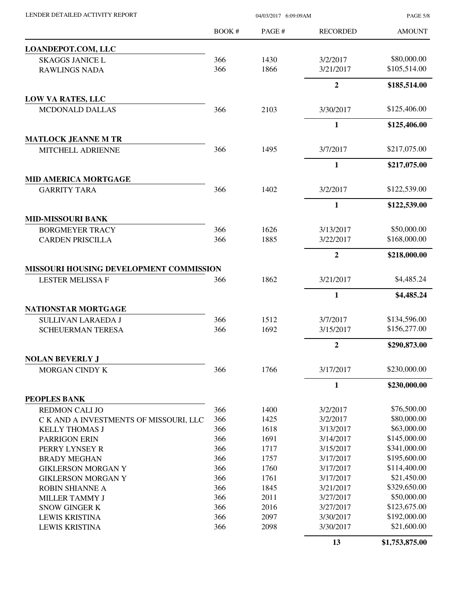| LENDER DETAILED ACTIVITY REPORT                                    | 04/03/2017 6:09:09AM |              |                        | <b>PAGE 5/8</b>             |  |
|--------------------------------------------------------------------|----------------------|--------------|------------------------|-----------------------------|--|
|                                                                    | <b>BOOK#</b>         | PAGE#        | <b>RECORDED</b>        | <b>AMOUNT</b>               |  |
| LOANDEPOT.COM, LLC                                                 |                      |              |                        |                             |  |
| <b>SKAGGS JANICE L</b>                                             | 366                  | 1430         | 3/2/2017               | \$80,000.00                 |  |
| <b>RAWLINGS NADA</b>                                               | 366                  | 1866         | 3/21/2017              | \$105,514.00                |  |
|                                                                    |                      |              | $\overline{2}$         | \$185,514.00                |  |
| <b>LOW VA RATES, LLC</b>                                           |                      |              |                        |                             |  |
| MCDONALD DALLAS                                                    | 366                  | 2103         | 3/30/2017              | \$125,406.00                |  |
|                                                                    |                      |              | $\mathbf{1}$           | \$125,406.00                |  |
| <b>MATLOCK JEANNE M TR</b>                                         |                      |              |                        |                             |  |
| MITCHELL ADRIENNE                                                  | 366                  | 1495         | 3/7/2017               | \$217,075.00                |  |
|                                                                    |                      |              | 1                      | \$217,075.00                |  |
| <b>MID AMERICA MORTGAGE</b>                                        |                      |              |                        |                             |  |
| <b>GARRITY TARA</b>                                                | 366                  | 1402         | 3/2/2017               | \$122,539.00                |  |
|                                                                    |                      |              | $\mathbf{1}$           | \$122,539.00                |  |
| <b>MID-MISSOURI BANK</b>                                           |                      |              |                        |                             |  |
| <b>BORGMEYER TRACY</b><br><b>CARDEN PRISCILLA</b>                  | 366<br>366           | 1626<br>1885 | 3/13/2017<br>3/22/2017 | \$50,000.00<br>\$168,000.00 |  |
|                                                                    |                      |              | $\overline{2}$         |                             |  |
|                                                                    |                      |              |                        | \$218,000.00                |  |
| MISSOURI HOUSING DEVELOPMENT COMMISSION<br><b>LESTER MELISSA F</b> | 366                  | 1862         | 3/21/2017              | \$4,485.24                  |  |
|                                                                    |                      |              | 1                      | \$4,485.24                  |  |
| NATIONSTAR MORTGAGE                                                |                      |              |                        |                             |  |
| SULLIVAN LARAEDA J                                                 | 366                  | 1512         | 3/7/2017               | \$134,596.00                |  |
| <b>SCHEUERMAN TERESA</b>                                           | 366                  | 1692         | 3/15/2017              | \$156,277.00                |  |
|                                                                    |                      |              | 2                      | \$290,873.00                |  |
| <b>NOLAN BEVERLY J</b>                                             |                      |              |                        |                             |  |
| MORGAN CINDY K                                                     | 366                  | 1766         | 3/17/2017              | \$230,000.00                |  |
|                                                                    |                      |              | $\mathbf{1}$           | \$230,000.00                |  |
| PEOPLES BANK                                                       |                      |              |                        |                             |  |
| <b>REDMON CALI JO</b>                                              | 366                  | 1400         | 3/2/2017               | \$76,500.00<br>\$80,000.00  |  |
| C K AND A INVESTMENTS OF MISSOURI, LLC                             | 366<br>366           | 1425         | 3/2/2017               | \$63,000.00                 |  |
| <b>KELLY THOMAS J</b>                                              | 366                  | 1618<br>1691 | 3/13/2017<br>3/14/2017 | \$145,000.00                |  |
| <b>PARRIGON ERIN</b>                                               | 366                  | 1717         | 3/15/2017              | \$341,000.00                |  |
| PERRY LYNSEY R                                                     | 366                  | 1757         | 3/17/2017              | \$195,600.00                |  |
| <b>BRADY MEGHAN</b>                                                |                      |              |                        | \$114,400.00                |  |
| <b>GIKLERSON MORGAN Y</b><br><b>GIKLERSON MORGAN Y</b>             | 366<br>366           | 1760<br>1761 | 3/17/2017<br>3/17/2017 | \$21,450.00                 |  |
|                                                                    | 366                  | 1845         |                        | \$329,650.00                |  |
| <b>ROBIN SHIANNE A</b>                                             | 366                  | 2011         | 3/21/2017<br>3/27/2017 | \$50,000.00                 |  |
| MILLER TAMMY J                                                     | 366                  | 2016         | 3/27/2017              | \$123,675.00                |  |
| <b>SNOW GINGER K</b><br><b>LEWIS KRISTINA</b>                      | 366                  | 2097         |                        | \$192,000.00                |  |
| <b>LEWIS KRISTINA</b>                                              | 366                  | 2098         | 3/30/2017<br>3/30/2017 | \$21,600.00                 |  |
|                                                                    |                      |              | 13                     | \$1,753,875.00              |  |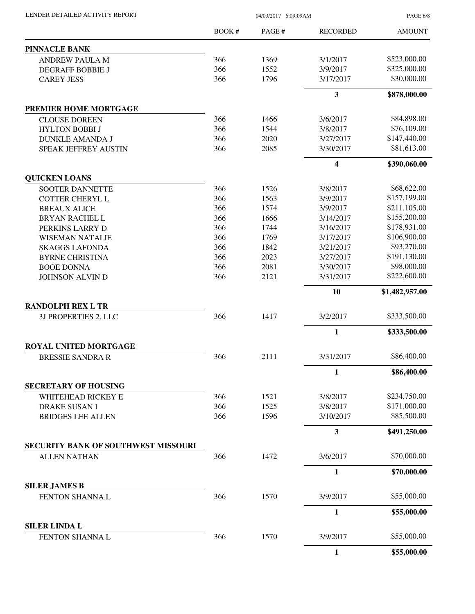| LENDER DETAILED ACTIVITY REPORT                            | 04/03/2017 6:09:09AM |              |                       | <b>PAGE 6/8</b>             |
|------------------------------------------------------------|----------------------|--------------|-----------------------|-----------------------------|
|                                                            | BOOK #               | PAGE#        | <b>RECORDED</b>       | <b>AMOUNT</b>               |
| <b>PINNACLE BANK</b>                                       |                      |              |                       |                             |
| <b>ANDREW PAULA M</b>                                      | 366                  | 1369         | 3/1/2017              | \$523,000.00                |
| <b>DEGRAFF BOBBIE J</b>                                    | 366                  | 1552         | 3/9/2017              | \$325,000.00                |
| <b>CAREY JESS</b>                                          | 366                  | 1796         | 3/17/2017             | \$30,000.00                 |
|                                                            |                      |              | 3                     | \$878,000.00                |
| PREMIER HOME MORTGAGE                                      |                      |              |                       |                             |
| <b>CLOUSE DOREEN</b>                                       | 366                  | 1466         | 3/6/2017              | \$84,898.00                 |
| <b>HYLTON BOBBI J</b>                                      | 366                  | 1544         | 3/8/2017              | \$76,109.00                 |
| <b>DUNKLE AMANDA J</b>                                     | 366                  | 2020         | 3/27/2017             | \$147,440.00                |
| SPEAK JEFFREY AUSTIN                                       | 366                  | 2085         | 3/30/2017             | \$81,613.00                 |
|                                                            |                      |              | 4                     | \$390,060.00                |
| <b>QUICKEN LOANS</b>                                       |                      |              |                       |                             |
| <b>SOOTER DANNETTE</b>                                     | 366                  | 1526         | 3/8/2017              | \$68,622.00                 |
| <b>COTTER CHERYL L</b>                                     | 366                  | 1563         | 3/9/2017              | \$157,199.00                |
| <b>BREAUX ALICE</b>                                        | 366                  | 1574         | 3/9/2017              | \$211,105.00                |
| <b>BRYAN RACHEL L</b>                                      | 366                  | 1666         | 3/14/2017             | \$155,200.00                |
| PERKINS LARRY D                                            | 366                  | 1744         | 3/16/2017             | \$178,931.00                |
| <b>WISEMAN NATALIE</b>                                     | 366                  | 1769         | 3/17/2017             | \$106,900.00                |
| <b>SKAGGS LAFONDA</b>                                      | 366                  | 1842         | 3/21/2017             | \$93,270.00                 |
| <b>BYRNE CHRISTINA</b>                                     | 366                  | 2023         | 3/27/2017             | \$191,130.00                |
| <b>BOOE DONNA</b>                                          | 366                  | 2081         | 3/30/2017             | \$98,000.00                 |
| <b>JOHNSON ALVIN D</b>                                     | 366                  | 2121         | 3/31/2017             | \$222,600.00                |
|                                                            |                      |              | 10                    | \$1,482,957.00              |
| <b>RANDOLPH REX L TR</b>                                   |                      |              |                       |                             |
| 3J PROPERTIES 2, LLC                                       | 366                  | 1417         | 3/2/2017              | \$333,500.00                |
|                                                            |                      |              | 1                     | \$333,500.00                |
| <b>ROYAL UNITED MORTGAGE</b>                               |                      |              |                       |                             |
| <b>BRESSIE SANDRA R</b>                                    | 366                  | 2111         | 3/31/2017             | \$86,400.00                 |
|                                                            |                      |              | $\mathbf{1}$          | \$86,400.00                 |
| <b>SECRETARY OF HOUSING</b>                                |                      |              |                       |                             |
| WHITEHEAD RICKEY E                                         | 366                  | 1521         | 3/8/2017              | \$234,750.00                |
| <b>DRAKE SUSAN I</b><br><b>BRIDGES LEE ALLEN</b>           | 366<br>366           | 1525<br>1596 | 3/8/2017<br>3/10/2017 | \$171,000.00<br>\$85,500.00 |
|                                                            |                      |              |                       |                             |
|                                                            |                      |              | 3                     | \$491,250.00                |
| SECURITY BANK OF SOUTHWEST MISSOURI<br><b>ALLEN NATHAN</b> | 366                  | 1472         | 3/6/2017              | \$70,000.00                 |
|                                                            |                      |              |                       |                             |
|                                                            |                      |              | 1                     | \$70,000.00                 |
| <b>SILER JAMES B</b><br>FENTON SHANNA L                    | 366                  | 1570         | 3/9/2017              | \$55,000.00                 |
|                                                            |                      |              | $\mathbf{1}$          | \$55,000.00                 |
| <b>SILER LINDA L</b>                                       |                      |              |                       |                             |
| FENTON SHANNA L                                            | 366                  | 1570         | 3/9/2017              | \$55,000.00                 |
|                                                            |                      |              | 1                     | \$55,000.00                 |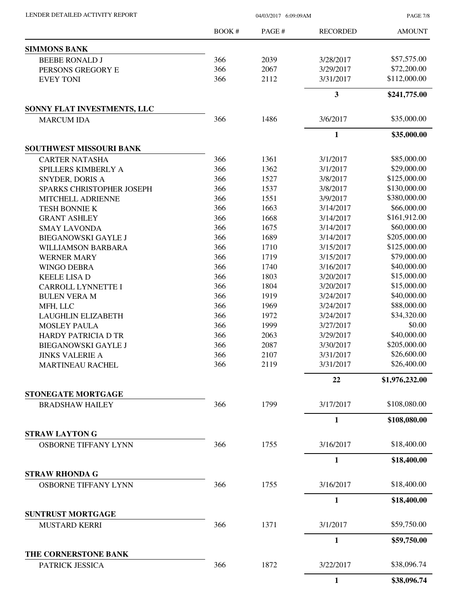| LENDER DETAILED ACTIVITY REPORT                  | 04/03/2017 6:09:09AM |       |                         | <b>PAGE 7/8</b> |  |
|--------------------------------------------------|----------------------|-------|-------------------------|-----------------|--|
|                                                  | <b>BOOK#</b>         | PAGE# | <b>RECORDED</b>         | <b>AMOUNT</b>   |  |
| <b>SIMMONS BANK</b>                              |                      |       |                         |                 |  |
| <b>BEEBE RONALD J</b>                            | 366                  | 2039  | 3/28/2017               | \$57,575.00     |  |
| PERSONS GREGORY E                                | 366                  | 2067  | 3/29/2017               | \$72,200.00     |  |
| <b>EVEY TONI</b>                                 | 366                  | 2112  | 3/31/2017               | \$112,000.00    |  |
|                                                  |                      |       | $\overline{\mathbf{3}}$ | \$241,775.00    |  |
| SONNY FLAT INVESTMENTS, LLC<br><b>MARCUM IDA</b> | 366                  | 1486  | 3/6/2017                | \$35,000.00     |  |
|                                                  |                      |       | $\mathbf{1}$            | \$35,000.00     |  |
| SOUTHWEST MISSOURI BANK                          |                      |       |                         |                 |  |
| <b>CARTER NATASHA</b>                            | 366                  | 1361  | 3/1/2017                | \$85,000.00     |  |
| SPILLERS KIMBERLY A                              | 366                  | 1362  | 3/1/2017                | \$29,000.00     |  |
| SNYDER, DORIS A                                  | 366                  | 1527  | 3/8/2017                | \$125,000.00    |  |
| SPARKS CHRISTOPHER JOSEPH                        | 366                  | 1537  | 3/8/2017                | \$130,000.00    |  |
| MITCHELL ADRIENNE                                | 366                  | 1551  | 3/9/2017                | \$380,000.00    |  |
| <b>TESH BONNIE K</b>                             | 366                  | 1663  | 3/14/2017               | \$66,000.00     |  |
| <b>GRANT ASHLEY</b>                              | 366                  | 1668  | 3/14/2017               | \$161,912.00    |  |
| <b>SMAY LAVONDA</b>                              | 366                  | 1675  | 3/14/2017               | \$60,000.00     |  |
| <b>BIEGANOWSKI GAYLE J</b>                       | 366                  | 1689  | 3/14/2017               | \$205,000.00    |  |
| <b>WILLIAMSON BARBARA</b>                        | 366                  | 1710  | 3/15/2017               | \$125,000.00    |  |
| <b>WERNER MARY</b>                               | 366                  | 1719  | 3/15/2017               | \$79,000.00     |  |
| <b>WINGO DEBRA</b>                               | 366                  | 1740  | 3/16/2017               | \$40,000.00     |  |
| <b>KEELE LISA D</b>                              | 366                  | 1803  | 3/20/2017               | \$15,000.00     |  |
| CARROLL LYNNETTE I                               | 366                  | 1804  | 3/20/2017               | \$15,000.00     |  |
| <b>BULEN VERA M</b>                              | 366                  | 1919  | 3/24/2017               | \$40,000.00     |  |
| MFH, LLC                                         | 366                  | 1969  | 3/24/2017               | \$88,000.00     |  |
| <b>LAUGHLIN ELIZABETH</b>                        | 366                  | 1972  | 3/24/2017               | \$34,320.00     |  |
| <b>MOSLEY PAULA</b>                              | 366                  | 1999  | 3/27/2017               | \$0.00          |  |
| <b>HARDY PATRICIA D TR</b>                       | 366                  | 2063  | 3/29/2017               | \$40,000.00     |  |
| <b>BIEGANOWSKI GAYLE J</b>                       | 366                  | 2087  | 3/30/2017               | \$205,000.00    |  |
| <b>JINKS VALERIE A</b>                           | 366                  | 2107  | 3/31/2017               | \$26,600.00     |  |
| <b>MARTINEAU RACHEL</b>                          | 366                  | 2119  | 3/31/2017               | \$26,400.00     |  |
|                                                  |                      |       | 22                      | \$1,976,232.00  |  |
| STONEGATE MORTGAGE<br><b>BRADSHAW HAILEY</b>     | 366                  | 1799  | 3/17/2017               | \$108,080.00    |  |
|                                                  |                      |       | $\mathbf{1}$            | \$108,080.00    |  |
| <b>STRAW LAYTON G</b>                            |                      |       |                         |                 |  |
| <b>OSBORNE TIFFANY LYNN</b>                      | 366                  | 1755  | 3/16/2017               | \$18,400.00     |  |
|                                                  |                      |       | $\mathbf{1}$            | \$18,400.00     |  |
| <b>STRAW RHONDA G</b>                            |                      |       |                         |                 |  |
| <b>OSBORNE TIFFANY LYNN</b>                      | 366                  | 1755  | 3/16/2017               | \$18,400.00     |  |
|                                                  |                      |       | 1                       | \$18,400.00     |  |
| <b>SUNTRUST MORTGAGE</b><br><b>MUSTARD KERRI</b> | 366                  | 1371  | 3/1/2017                | \$59,750.00     |  |
|                                                  |                      |       | 1                       | \$59,750.00     |  |
| THE CORNERSTONE BANK                             |                      |       |                         |                 |  |
| PATRICK JESSICA                                  | 366                  | 1872  | 3/22/2017               | \$38,096.74     |  |
|                                                  |                      |       | 1                       | \$38,096.74     |  |